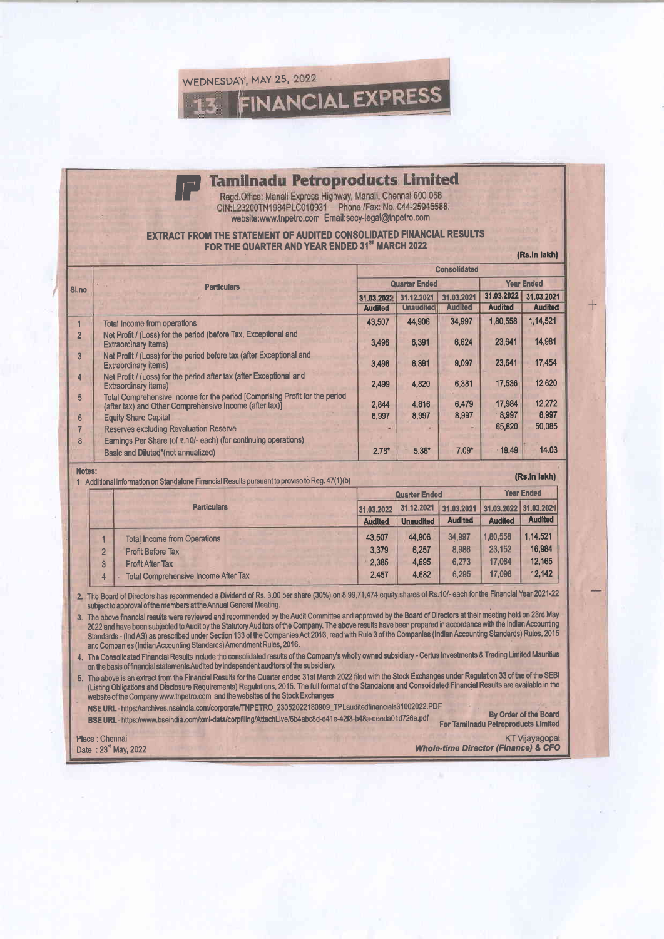WEDNESDAY, MAY 25, 2022 **FINANCIAL EXPRESS** 

## **Tamilnadu Petroproducts Limited**

Regd.Office: Manali Express Highway, Manali, Chennai 600 068 CIN:L23200TN1984PLC010931 Phone /Fax: No. 044-25945588. website:www.tnpetro.com Email:secy-legal@tnpetro.com

## **EXTRACT FROM THE STATEMENT OF AUDITED CONSOLIDATED FINANCIAL RESULTS** FOR THE QUARTER AND YEAR ENDED 31<sup>ST</sup> MARCH 2022

|                |                                                                                                                                        | <b>Consolidated</b>  |                  |                |                   |                |  |  |
|----------------|----------------------------------------------------------------------------------------------------------------------------------------|----------------------|------------------|----------------|-------------------|----------------|--|--|
| Sl.no          | <b>Particulars</b>                                                                                                                     | <b>Quarter Ended</b> |                  |                | <b>Year Ended</b> |                |  |  |
|                |                                                                                                                                        | 31.03.2022           | 31.12.2021       | 31.03.2021     | 31.03.2022        | 31.03.2021     |  |  |
|                |                                                                                                                                        | <b>Audited</b>       | <b>Unaudited</b> | <b>Audited</b> | <b>Audited</b>    | <b>Audited</b> |  |  |
|                | <b>Total Income from operations</b>                                                                                                    | 43,507               | 44,906           | 34,997         | 1.80,558          | 1,14,521       |  |  |
| $\overline{2}$ | Net Profit / (Loss) for the period (before Tax, Exceptional and<br><b>Extraordinary items)</b>                                         | 3,496                | 6.391            | 6,624          | 23,641            | 14,981         |  |  |
| 3              | Net Profit / (Loss) for the period before tax (after Exceptional and<br><b>Extraordinary items)</b>                                    | 3.496                | 6.391            | 9,097          | 23.641            | 17,454         |  |  |
| 4              | Net Profit / (Loss) for the period after tax (after Exceptional and<br><b>Extraordinary items)</b>                                     | 2.499                | 4.820            | 6,381          | 17,536            | 12.620         |  |  |
| 5              | Total Comprehensive Income for the period [Comprising Profit for the period<br>(after tax) and Other Comprehensive Income (after tax)] | 2,844                | 4.816            | 6,479          | 17,984            | 12,272         |  |  |
| 6              | <b>Equity Share Capital</b>                                                                                                            | 8,997                | 8.997            | 8,997          | 8,997             | 8,997          |  |  |
|                | <b>Reserves excluding Revaluation Reserve</b>                                                                                          |                      |                  |                | 65,820            | 50,085         |  |  |
| 8              | Earnings Per Share (of ₹.10/- each) (for continuing operations)                                                                        |                      |                  |                |                   |                |  |  |
|                | Basic and Diluted*(not annualized)                                                                                                     | $2.78*$              | $5.36*$          | $7.09*$        | .19.49            | 14.03          |  |  |

Notes: 1. Additional information on Standalone Financi

| al Results pursuant to proviso to Reg. 47(1)(b) |  |
|-------------------------------------------------|--|
|                                                 |  |

|                |                                             |                | <b>Quarter Ended</b> |                                  |                | <b>Year Ended</b> |  |
|----------------|---------------------------------------------|----------------|----------------------|----------------------------------|----------------|-------------------|--|
|                | <b>Particulars</b>                          | 31.03.2022     | 31.12.2021           | 31.03.2021 31.03.2022 31.03.2021 |                |                   |  |
|                |                                             | <b>Audited</b> | <b>Unaudited</b>     | <b>Audited</b>                   | <b>Audited</b> | <b>Audited</b>    |  |
|                | <b>Total Income from Operations</b>         | 43.507         | 44.906               | 34,997                           | 1,80,558       | 1.14.521          |  |
| $\overline{2}$ | <b>Profit Before Tax</b>                    | 3.379          | 6,257                | 8.986                            | 23.152         | 16.984            |  |
| 3              | <b>Profit After Tax</b>                     | 2,385          | 4.695                | 6.273                            | 17.064         | 12,165            |  |
| 4              | <b>Total Comprehensive Income After Tax</b> | 2.457          | 4,682                | 6.295                            | 17.098         | 12,142            |  |

2. The Board of Directors has recommended a Dividend of Rs. 3.00 per share (30%) on 8,99,71,474 equity shares of Rs.10/- each for the Financial Year 2021-22 subject to approval of the members at the Annual General Meeting.

3. The above financial results were reviewed and recommended by the Audit Committee and approved by the Board of Directors at their meeting held on 23rd May 2022 and have been subjected to Audit by the Statutory Auditors of the Company. The above results have been prepared in accordance with the Indian Accounting<br>Standards - (Ind AS) as prescribed under Section 133 of the Comp and Companies (Indian Accounting Standards) Amendment Rules, 2016

4. The Consolidated Financial Results include the consolidated results of the Company's wholly owned subsidiary - Certus Investments & Trading Limited Mauritius on the basis of financial statements Audited by independent auditors of the subsidiary.

5. The above is an extract from the Financial Results for the Quarter ended 31st March 2022 filed with the Stock Exchanges under Regulation 33 of the of the SEBI (Listing Obligations and Disclosure Requirements) Regulations, 2015. The full format of the Standalone and Consolidated Financial Results are available in the website of the Company www.tnpetro.com and the websites of the Stock Exchanges

NSE URL - https://archives.nseindia.com/corporate/TNPETRO\_23052022180909\_TPLauditedfinancials31002022.PDF

By Order of the Board BSE URL - https://www.bseindia.com/xml-data/corpfiling/AttachLive/6b4abc8d-d41e-42f3-b48a-deeda01d726e.pdf **For Tamilnadu Petroproducts Limited** 

Place : Chennai Date: 23" May, 2022

**KT Vijayagopal Whole-time Director (Finance) & CFO** 

(Rs.In lakh)

(Rs.in lakh)